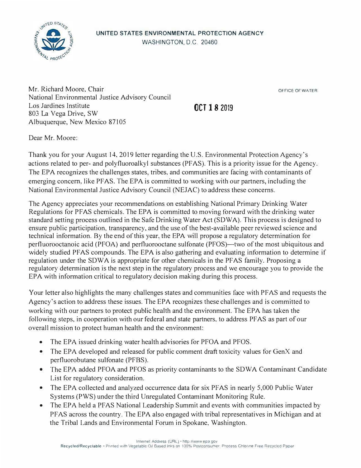

Mr. Richard Moore, Chair National Environmental Justice Advisory Council Los Jardines Institute 803 La Vega Drive, SW Albuquerque, New Mexico 87105

OFFICE OF WATER

## **OCT 18 2019**

Dear Mr. Moore:

Thank you for your August 14, 2019 letter regarding the U.S. Environmental Protection Agency's actions related to per- and polyfluoroalkyl substances (PF AS). This is a priority issue for the Agency. The EPA recognizes the challenges states, tribes, and communities are facing with contaminants of emerging concern, like PF AS. The EPA is committed to working with our partners, including the National Environmental Justice Advisory Council (NEJAC) to address these concerns.

The Agency appreciates your recommendations on establishing National Primary Drinking Water Regulations for PFAS chemicals. The EPA is committed to moving forward with the drinking water standard setting process outlined in the Safe Drinking Water Act (SOW A). This process is designed to ensure public participation, transparency, and the use of the best-available peer reviewed science and technical information. By the end of this year, the EPA will propose a regulatory determination for perfluorooctanoic acid (PFOA) and perfluorooctane sulfonate (PFOS)—two of the most ubiquitous and widely studied PFAS compounds. The EPA is also gathering and evaluating information to determine if regulation under the SOW A is appropriate for other chemicals in the PF AS family. Proposing a regulatory determination is the next step in the regulatory process and we encourage you to provide the EPA with information critical to regulatory decision making during this process.

Your letter also highlights the many challenges states and communities face with PF AS and requests the Agency's action to address these issues. The EPA recognizes these challenges and is committed to working with our partners to protect public health and the environment. The EPA has taken the following steps, in cooperation with our federal and state partners, to address PF AS as part of our overall mission to protect human health and the environment:

- The EPA issued drinking water health advisories for PFOA and PFOS.
- The EPA developed and released for public comment draft toxicity values for GenX and perfluorobutane sulfonate (PFBS).
- The EPA added PFOA and PFOS as priority contaminants to the SDWA Contaminant Candidate List for regulatory consideration.
- The EPA collected and analyzed occurrence data for six PFAS in nearly 5,000 Public Water Systems (PWS) under the third Unregulated Contaminant Monitoring Rule.
- The EPA held a PFAS National Leadership Summit and events with communities impacted by PF AS across the country. The EPA also engaged with tribal representatives in Michigan and at the Tribal Lands and Environmental Forum in Spokane, Washington.